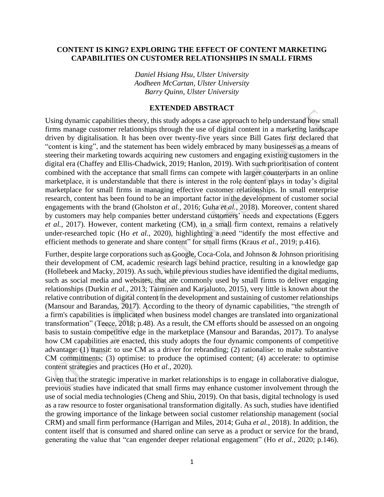## **CONTENT IS KING? EXPLORING THE EFFECT OF CONTENT MARKETING CAPABILITIES ON CUSTOMER RELATIONSHIPS IN SMALL FIRMS**

*Daniel Hsiang Hsu, Ulster University Aodheen McCartan, Ulster University Barry Quinn, Ulster University*

## **EXTENDED ABSTRACT**

Using dynamic capabilities theory, this study adopts a case approach to help understand how small firms manage customer relationships through the use of digital content in a marketing landscape driven by digitalisation. It has been over twenty-five years since Bill Gates first declared that "content is king", and the statement has been widely embraced by many businesses as a means of steering their marketing towards acquiring new customers and engaging existing customers in the digital era (Chaffey and Ellis-Chadwick, 2019; Hanlon, 2019). With such prioritisation of content combined with the acceptance that small firms can compete with larger counterparts in an online marketplace, it is understandable that there is interest in the role content plays in today's digital marketplace for small firms in managing effective customer relationships. In small enterprise research, content has been found to be an important factor in the development of customer social engagements with the brand (Gholston *et al.*, 2016; Guha *et al.*, 2018). Moreover, content shared by customers may help companies better understand customers' needs and expectations (Eggers *et al.*, 2017). However, content marketing (CM), in a small firm context, remains a relatively under-researched topic (Ho *et al.*, 2020), highlighting a need "identify the most effective and efficient methods to generate and share content" for small firms (Kraus *et al.*, 2019; p.416).

Further, despite large corporations such as Google, Coca-Cola, and Johnson & Johnson prioritising their development of CM, academic research lags behind practice, resulting in a knowledge gap (Hollebeek and Macky, 2019). As such, while previous studies have identified the digital mediums, such as social media and websites, that are commonly used by small firms to deliver engaging relationships (Durkin *et al.*, 2013; Taiminen and Karjaluoto, 2015), very little is known about the relative contribution of digital content in the development and sustaining of customer relationships (Mansour and Barandas, 2017). According to the theory of dynamic capabilities, "the strength of a firm's capabilities is implicated when business model changes are translated into organizational transformation" (Teece, 2018; p.48). As a result, the CM efforts should be assessed on an ongoing basis to sustain competitive edge in the marketplace (Mansour and Barandas, 2017). To analyse how CM capabilities are enacted, this study adopts the four dynamic components of competitive advantage: (1) transit: to use CM as a driver for rebranding; (2) rationalise: to make substantive CM commitments; (3) optimise: to produce the optimised content; (4) accelerate: to optimise content strategies and practices (Ho *et al.*, 2020).

Given that the strategic imperative in market relationships is to engage in collaborative dialogue, previous studies have indicated that small firms may enhance customer involvement through the use of social media technologies (Cheng and Shiu, 2019). On that basis, digital technology is used as a raw resource to foster organisational transformation digitally. As such, studies have identified the growing importance of the linkage between social customer relationship management (social CRM) and small firm performance (Harrigan and Miles, 2014; Guha *et al.*, 2018). In addition, the content itself that is consumed and shared online can serve as a product or service for the brand, generating the value that "can engender deeper relational engagement" (Ho *et al.*, 2020; p.146).